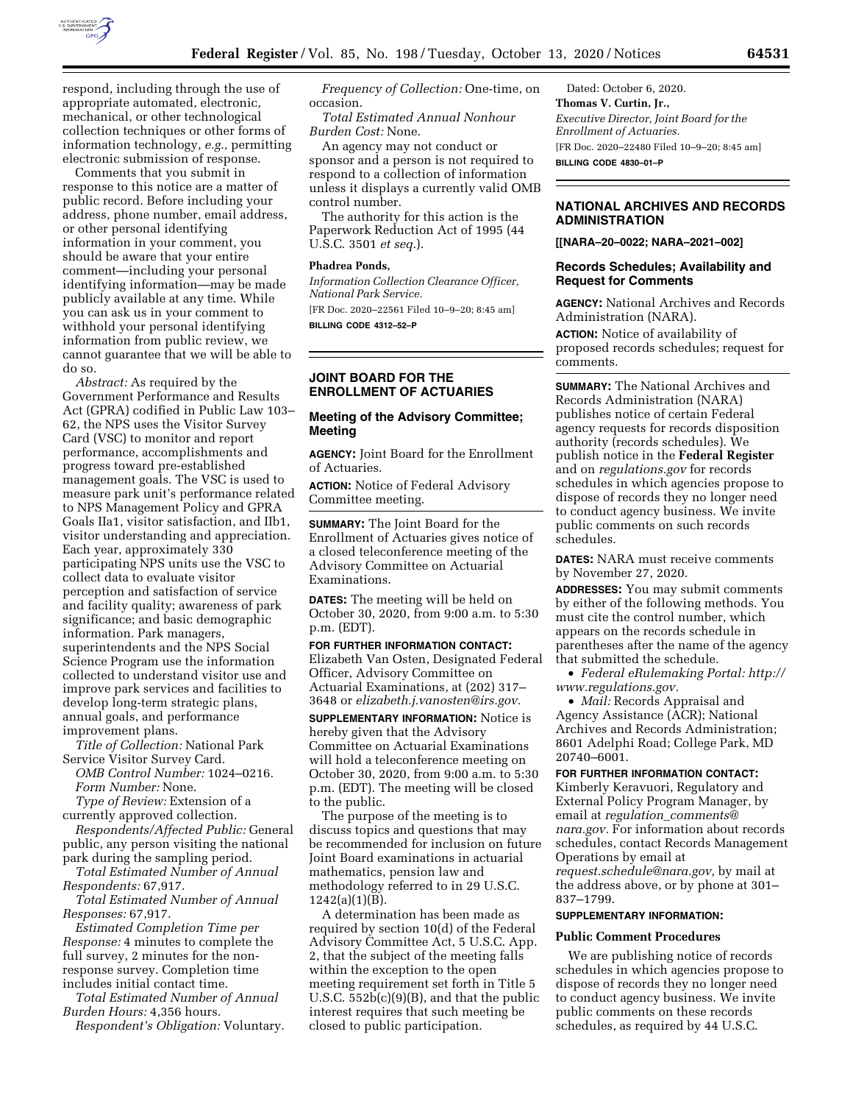

respond, including through the use of appropriate automated, electronic, mechanical, or other technological collection techniques or other forms of information technology, *e.g.,* permitting electronic submission of response.

Comments that you submit in response to this notice are a matter of public record. Before including your address, phone number, email address, or other personal identifying information in your comment, you should be aware that your entire comment—including your personal identifying information—may be made publicly available at any time. While you can ask us in your comment to withhold your personal identifying information from public review, we cannot guarantee that we will be able to do so.

*Abstract:* As required by the Government Performance and Results Act (GPRA) codified in Public Law 103– 62, the NPS uses the Visitor Survey Card (VSC) to monitor and report performance, accomplishments and progress toward pre-established management goals. The VSC is used to measure park unit's performance related to NPS Management Policy and GPRA Goals IIa1, visitor satisfaction, and IIb1, visitor understanding and appreciation. Each year, approximately 330 participating NPS units use the VSC to collect data to evaluate visitor perception and satisfaction of service and facility quality; awareness of park significance; and basic demographic information. Park managers, superintendents and the NPS Social Science Program use the information collected to understand visitor use and improve park services and facilities to develop long-term strategic plans, annual goals, and performance improvement plans.

*Title of Collection:* National Park Service Visitor Survey Card.

*OMB Control Number:* 1024–0216. *Form Number:* None. *Type of Review:* Extension of a

currently approved collection.

*Respondents/Affected Public:* General public, any person visiting the national park during the sampling period.

*Total Estimated Number of Annual Respondents:* 67,917.

*Total Estimated Number of Annual Responses:* 67,917.

*Estimated Completion Time per Response:* 4 minutes to complete the full survey, 2 minutes for the nonresponse survey. Completion time includes initial contact time.

*Total Estimated Number of Annual Burden Hours:* 4,356 hours.

*Respondent's Obligation:* Voluntary.

*Frequency of Collection:* One-time, on occasion.

*Total Estimated Annual Nonhour Burden Cost:* None.

An agency may not conduct or sponsor and a person is not required to respond to a collection of information unless it displays a currently valid OMB control number.

The authority for this action is the Paperwork Reduction Act of 1995 (44 U.S.C. 3501 *et seq.*).

# **Phadrea Ponds,**

*Information Collection Clearance Officer, National Park Service.* 

[FR Doc. 2020–22561 Filed 10–9–20; 8:45 am] **BILLING CODE 4312–52–P** 

## **JOINT BOARD FOR THE ENROLLMENT OF ACTUARIES**

# **Meeting of the Advisory Committee; Meeting**

**AGENCY:** Joint Board for the Enrollment of Actuaries.

**ACTION:** Notice of Federal Advisory Committee meeting.

**SUMMARY:** The Joint Board for the Enrollment of Actuaries gives notice of a closed teleconference meeting of the Advisory Committee on Actuarial Examinations.

**DATES:** The meeting will be held on October 30, 2020, from 9:00 a.m. to 5:30 p.m. (EDT).

**FOR FURTHER INFORMATION CONTACT:**  Elizabeth Van Osten, Designated Federal Officer, Advisory Committee on Actuarial Examinations, at (202) 317– 3648 or *[elizabeth.j.vanosten@irs.gov.](mailto:elizabeth.j.vanosten@irs.gov)* 

**SUPPLEMENTARY INFORMATION:** Notice is hereby given that the Advisory Committee on Actuarial Examinations will hold a teleconference meeting on October 30, 2020, from 9:00 a.m. to 5:30 p.m. (EDT). The meeting will be closed to the public.

The purpose of the meeting is to discuss topics and questions that may be recommended for inclusion on future Joint Board examinations in actuarial mathematics, pension law and methodology referred to in 29 U.S.C. 1242(a)(1)(B).

A determination has been made as required by section 10(d) of the Federal Advisory Committee Act, 5 U.S.C. App. 2, that the subject of the meeting falls within the exception to the open meeting requirement set forth in Title 5 U.S.C. 552b(c)(9)(B), and that the public interest requires that such meeting be closed to public participation.

Dated: October 6, 2020. **Thomas V. Curtin, Jr.,**  *Executive Director, Joint Board for the Enrollment of Actuaries.*  [FR Doc. 2020–22480 Filed 10–9–20; 8:45 am] **BILLING CODE 4830–01–P** 

# **NATIONAL ARCHIVES AND RECORDS ADMINISTRATION**

**[[NARA–20–0022; NARA–2021–002]** 

### **Records Schedules; Availability and Request for Comments**

**AGENCY:** National Archives and Records Administration (NARA).

**ACTION:** Notice of availability of proposed records schedules; request for comments.

**SUMMARY:** The National Archives and Records Administration (NARA) publishes notice of certain Federal agency requests for records disposition authority (records schedules). We publish notice in the **Federal Register**  and on *regulations.gov* for records schedules in which agencies propose to dispose of records they no longer need to conduct agency business. We invite public comments on such records schedules.

**DATES:** NARA must receive comments by November 27, 2020.

**ADDRESSES:** You may submit comments by either of the following methods. You must cite the control number, which appears on the records schedule in parentheses after the name of the agency that submitted the schedule.

• *Federal eRulemaking Portal: [http://](http://www.regulations.gov)  [www.regulations.gov.](http://www.regulations.gov)* 

• *Mail:* Records Appraisal and Agency Assistance (ACR); National Archives and Records Administration; 8601 Adelphi Road; College Park, MD 20740–6001.

# **FOR FURTHER INFORMATION CONTACT:**

Kimberly Keravuori, Regulatory and External Policy Program Manager, by email at *regulation*\_*[comments@](mailto:regulation_comments@nara.gov) [nara.gov.](mailto:regulation_comments@nara.gov)* For information about records schedules, contact Records Management Operations by email at *[request.schedule@nara.gov,](mailto:request.schedule@nara.gov)* by mail at the address above, or by phone at 301– 837–1799.

#### **SUPPLEMENTARY INFORMATION:**

#### **Public Comment Procedures**

We are publishing notice of records schedules in which agencies propose to dispose of records they no longer need to conduct agency business. We invite public comments on these records schedules, as required by 44 U.S.C.